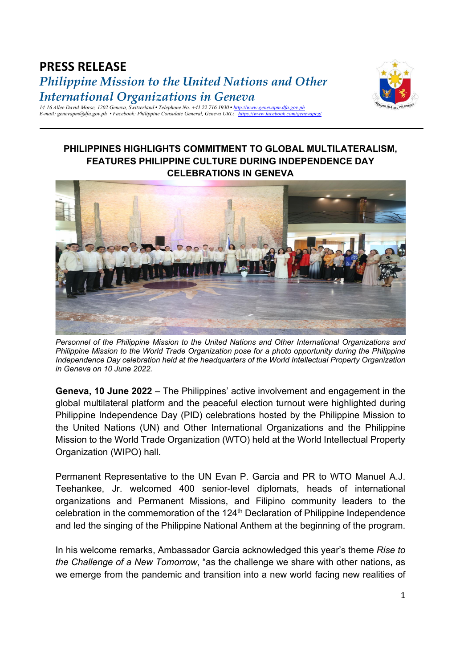## **PRESS RELEASE** *Philippine Mission to the United Nations and Other International Organizations in Geneva*



*14-16 Allee David-Morse, 1202 Geneva, Switzerland • Telephone No. +41 22 716 1930 • http://www.genevapm.dfa.gov.ph E-mail: genevapm@dfa.gov.ph • Facebook: Philippine Consulate General, Geneva URL*: *https://www.facebook.com/genevapcg/*

## **PHILIPPINES HIGHLIGHTS COMMITMENT TO GLOBAL MULTILATERALISM, FEATURES PHILIPPINE CULTURE DURING INDEPENDENCE DAY CELEBRATIONS IN GENEVA**



*Personnel of the Philippine Mission to the United Nations and Other International Organizations and Philippine Mission to the World Trade Organization pose for a photo opportunity during the Philippine Independence Day celebration held at the headquarters of the World Intellectual Property Organization in Geneva on 10 June 2022.* 

**Geneva, 10 June 2022** – The Philippines' active involvement and engagement in the global multilateral platform and the peaceful election turnout were highlighted during Philippine Independence Day (PID) celebrations hosted by the Philippine Mission to the United Nations (UN) and Other International Organizations and the Philippine Mission to the World Trade Organization (WTO) held at the World Intellectual Property Organization (WIPO) hall.

Permanent Representative to the UN Evan P. Garcia and PR to WTO Manuel A.J. Teehankee, Jr. welcomed 400 senior-level diplomats, heads of international organizations and Permanent Missions, and Filipino community leaders to the celebration in the commemoration of the 124<sup>th</sup> Declaration of Philippine Independence and led the singing of the Philippine National Anthem at the beginning of the program.

In his welcome remarks, Ambassador Garcia acknowledged this year's theme *Rise to the Challenge of a New Tomorrow*, "as the challenge we share with other nations, as we emerge from the pandemic and transition into a new world facing new realities of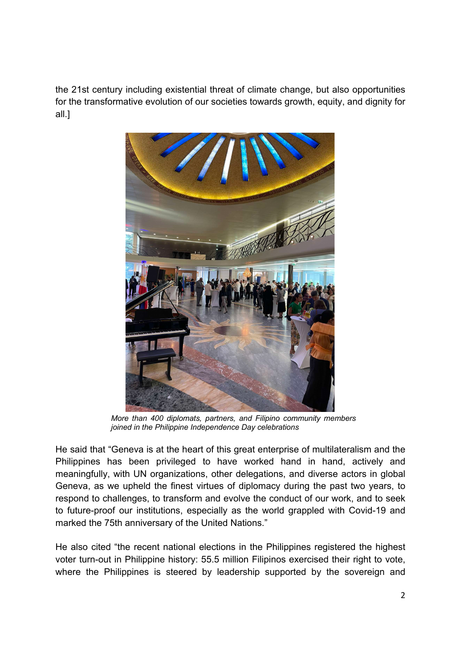the 21st century including existential threat of climate change, but also opportunities for the transformative evolution of our societies towards growth, equity, and dignity for all.]



*More than 400 diplomats, partners, and Filipino community members joined in the Philippine Independence Day celebrations*

He said that "Geneva is at the heart of this great enterprise of multilateralism and the Philippines has been privileged to have worked hand in hand, actively and meaningfully, with UN organizations, other delegations, and diverse actors in global Geneva, as we upheld the finest virtues of diplomacy during the past two years, to respond to challenges, to transform and evolve the conduct of our work, and to seek to future-proof our institutions, especially as the world grappled with Covid-19 and marked the 75th anniversary of the United Nations."

He also cited "the recent national elections in the Philippines registered the highest voter turn-out in Philippine history: 55.5 million Filipinos exercised their right to vote, where the Philippines is steered by leadership supported by the sovereign and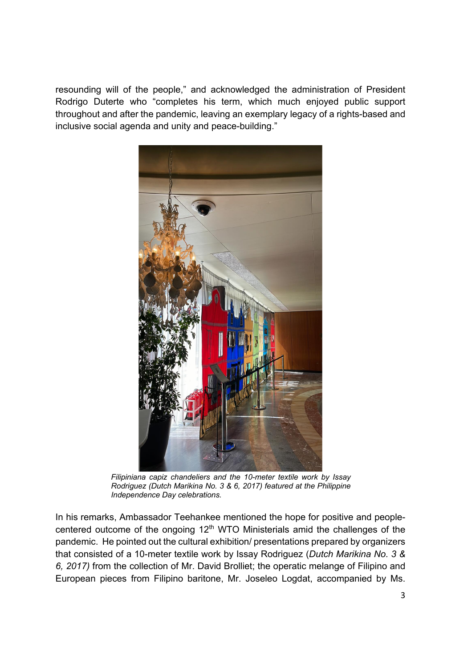resounding will of the people," and acknowledged the administration of President Rodrigo Duterte who "completes his term, which much enjoyed public support throughout and after the pandemic, leaving an exemplary legacy of a rights-based and inclusive social agenda and unity and peace-building."



*Filipiniana capiz chandeliers and the 10-meter textile work by Issay Rodriguez (Dutch Marikina No. 3 & 6, 2017) featured at the Philippine Independence Day celebrations.*

In his remarks, Ambassador Teehankee mentioned the hope for positive and peoplecentered outcome of the ongoing 12<sup>th</sup> WTO Ministerials amid the challenges of the pandemic. He pointed out the cultural exhibition/ presentations prepared by organizers that consisted of a 10-meter textile work by Issay Rodriguez (*Dutch Marikina No. 3 & 6, 2017)* from the collection of Mr. David Brolliet; the operatic melange of Filipino and European pieces from Filipino baritone, Mr. Joseleo Logdat, accompanied by Ms.